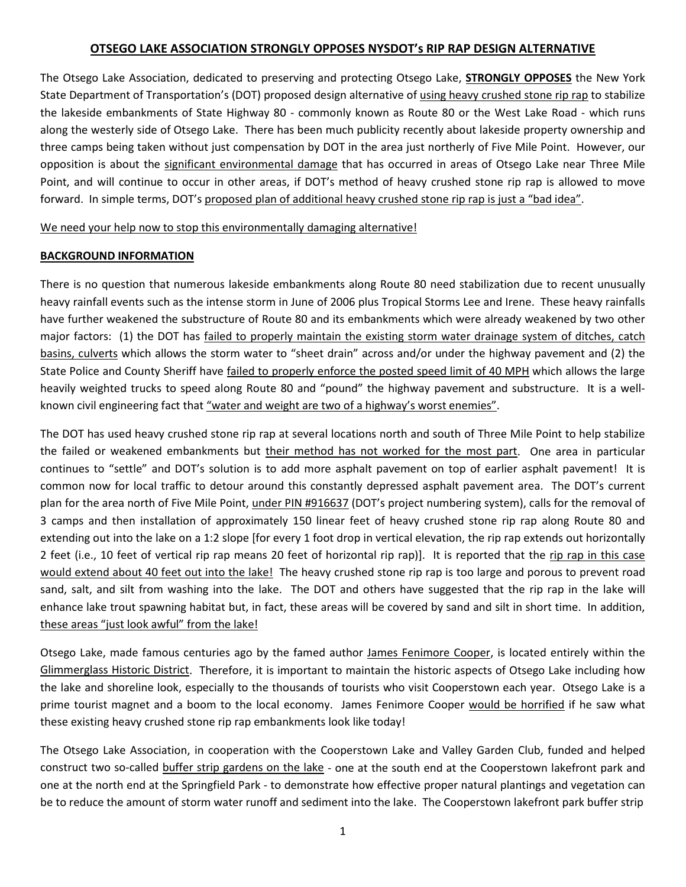# **OTSEGO LAKE ASSOCIATION STRONGLY OPPOSES NYSDOT's RIP RAP DESIGN ALTERNATIVE**

The Otsego Lake Association, dedicated to preserving and protecting Otsego Lake, **STRONGLY OPPOSES** the New York State Department of Transportation's (DOT) proposed design alternative of using heavy crushed stone rip rap to stabilize the lakeside embankments of State Highway 80 - commonly known as Route 80 or the West Lake Road - which runs along the westerly side of Otsego Lake. There has been much publicity recently about lakeside property ownership and three camps being taken without just compensation by DOT in the area just northerly of Five Mile Point. However, our opposition is about the significant environmental damage that has occurred in areas of Otsego Lake near Three Mile Point, and will continue to occur in other areas, if DOT's method of heavy crushed stone rip rap is allowed to move forward. In simple terms, DOT's proposed plan of additional heavy crushed stone rip rap is just a "bad idea".

We need your help now to stop this environmentally damaging alternative!

## **BACKGROUND INFORMATION**

There is no question that numerous lakeside embankments along Route 80 need stabilization due to recent unusually heavy rainfall events such as the intense storm in June of 2006 plus Tropical Storms Lee and Irene. These heavy rainfalls have further weakened the substructure of Route 80 and its embankments which were already weakened by two other major factors: (1) the DOT has failed to properly maintain the existing storm water drainage system of ditches, catch basins, culverts which allows the storm water to "sheet drain" across and/or under the highway pavement and (2) the State Police and County Sheriff have failed to properly enforce the posted speed limit of 40 MPH which allows the large heavily weighted trucks to speed along Route 80 and "pound" the highway pavement and substructure. It is a wellknown civil engineering fact that "water and weight are two of a highway's worst enemies".

The DOT has used heavy crushed stone rip rap at several locations north and south of Three Mile Point to help stabilize the failed or weakened embankments but their method has not worked for the most part. One area in particular continues to "settle" and DOT's solution is to add more asphalt pavement on top of earlier asphalt pavement! It is common now for local traffic to detour around this constantly depressed asphalt pavement area. The DOT's current plan for the area north of Five Mile Point, under PIN #916637 (DOT's project numbering system), calls for the removal of 3 camps and then installation of approximately 150 linear feet of heavy crushed stone rip rap along Route 80 and extending out into the lake on a 1:2 slope [for every 1 foot drop in vertical elevation, the rip rap extends out horizontally 2 feet (i.e., 10 feet of vertical rip rap means 20 feet of horizontal rip rap)]. It is reported that the rip rap in this case would extend about 40 feet out into the lake! The heavy crushed stone rip rap is too large and porous to prevent road sand, salt, and silt from washing into the lake. The DOT and others have suggested that the rip rap in the lake will enhance lake trout spawning habitat but, in fact, these areas will be covered by sand and silt in short time. In addition, these areas "just look awful" from the lake!

Otsego Lake, made famous centuries ago by the famed author James Fenimore Cooper, is located entirely within the Glimmerglass Historic District. Therefore, it is important to maintain the historic aspects of Otsego Lake including how the lake and shoreline look, especially to the thousands of tourists who visit Cooperstown each year. Otsego Lake is a prime tourist magnet and a boom to the local economy. James Fenimore Cooper would be horrified if he saw what these existing heavy crushed stone rip rap embankments look like today!

The Otsego Lake Association, in cooperation with the Cooperstown Lake and Valley Garden Club, funded and helped construct two so-called buffer strip gardens on the lake - one at the south end at the Cooperstown lakefront park and one at the north end at the Springfield Park - to demonstrate how effective proper natural plantings and vegetation can be to reduce the amount of storm water runoff and sediment into the lake. The Cooperstown lakefront park buffer strip